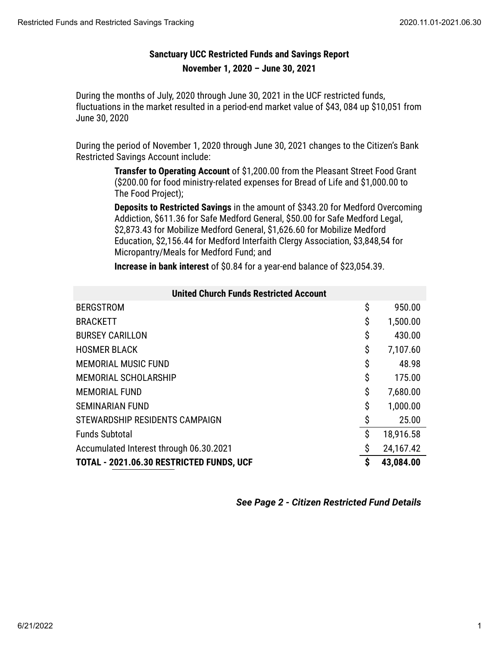## **Sanctuary UCC Restricted Funds and Savings Report November 1, 2020 – June 30, 2021**

During the months of July, 2020 through June 30, 2021 in the UCF restricted funds, fluctuations in the market resulted in a period-end market value of \$43, 084 up \$10,051 from June 30, 2020

During the period of November 1, 2020 through June 30, 2021 changes to the Citizen's Bank Restricted Savings Account include:

> **Transfer to Operating Account** of \$1,200.00 from the Pleasant Street Food Grant (\$200.00 for food ministry-related expenses for Bread of Life and \$1,000.00 to The Food Project);

**Deposits to Restricted Savings** in the amount of \$343.20 for Medford Overcoming Addiction, \$611.36 for Safe Medford General, \$50.00 for Safe Medford Legal, \$2,873.43 for Mobilize Medford General, \$1,626.60 for Mobilize Medford Education, \$2,156.44 for Medford Interfaith Clergy Association, \$3,848,54 for Micropantry/Meals for Medford Fund; and

**Increase in bank interest** of \$0.84 for a year-end balance of \$23,054.39.

| <b>United Church Funds Restricted Account</b> |    |           |
|-----------------------------------------------|----|-----------|
| <b>BERGSTROM</b>                              | \$ | 950.00    |
| <b>BRACKETT</b>                               | \$ | 1,500.00  |
| <b>BURSEY CARILLON</b>                        | \$ | 430.00    |
| <b>HOSMER BLACK</b>                           | \$ | 7,107.60  |
| <b>MEMORIAL MUSIC FUND</b>                    | \$ | 48.98     |
| MEMORIAL SCHOLARSHIP                          | \$ | 175.00    |
| <b>MEMORIAL FUND</b>                          | \$ | 7,680.00  |
| <b>SEMINARIAN FUND</b>                        | \$ | 1,000.00  |
| STEWARDSHIP RESIDENTS CAMPAIGN                | \$ | 25.00     |
| <b>Funds Subtotal</b>                         | \$ | 18,916.58 |
| Accumulated Interest through 06.30.2021       | \$ | 24,167.42 |
| TOTAL - 2021.06.30 RESTRICTED FUNDS, UCF      | \$ | 43,084.00 |

*See Page 2 - Citizen Restricted Fund Details*